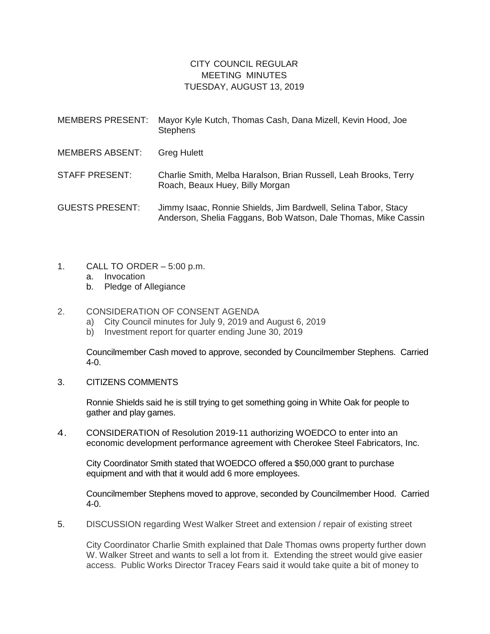## CITY COUNCIL REGULAR MEETING MINUTES TUESDAY, AUGUST 13, 2019

| <b>MEMBERS PRESENT:</b> | Mayor Kyle Kutch, Thomas Cash, Dana Mizell, Kevin Hood, Joe<br><b>Stephens</b>                                                   |
|-------------------------|----------------------------------------------------------------------------------------------------------------------------------|
| <b>MEMBERS ABSENT:</b>  | <b>Greg Hulett</b>                                                                                                               |
| STAFF PRESENT:          | Charlie Smith, Melba Haralson, Brian Russell, Leah Brooks, Terry<br>Roach, Beaux Huey, Billy Morgan                              |
| <b>GUESTS PRESENT:</b>  | Jimmy Isaac, Ronnie Shields, Jim Bardwell, Selina Tabor, Stacy<br>Anderson, Shelia Faggans, Bob Watson, Dale Thomas, Mike Cassin |

- 1. CALL TO ORDER 5:00 p.m.
	- a. Invocation
	- b. Pledge of Allegiance

## 2. CONSIDERATION OF CONSENT AGENDA

- a) City Council minutes for July 9, 2019 and August 6, 2019
- b) Investment report for quarter ending June 30, 2019

Councilmember Cash moved to approve, seconded by Councilmember Stephens. Carried 4-0.

3. CITIZENS COMMENTS

Ronnie Shields said he is still trying to get something going in White Oak for people to gather and play games.

4. CONSIDERATION of Resolution 2019-11 authorizing WOEDCO to enter into an economic development performance agreement with Cherokee Steel Fabricators, Inc.

City Coordinator Smith stated that WOEDCO offered a \$50,000 grant to purchase equipment and with that it would add 6 more employees.

Councilmember Stephens moved to approve, seconded by Councilmember Hood. Carried 4-0.

5. DISCUSSION regarding West Walker Street and extension / repair of existing street

City Coordinator Charlie Smith explained that Dale Thomas owns property further down W. Walker Street and wants to sell a lot from it. Extending the street would give easier access. Public Works Director Tracey Fears said it would take quite a bit of money to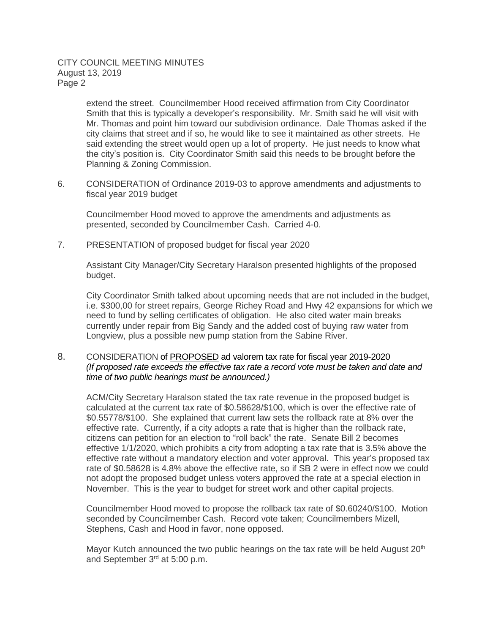## CITY COUNCIL MEETING MINUTES August 13, 2019 Page 2

extend the street. Councilmember Hood received affirmation from City Coordinator Smith that this is typically a developer's responsibility. Mr. Smith said he will visit with Mr. Thomas and point him toward our subdivision ordinance. Dale Thomas asked if the city claims that street and if so, he would like to see it maintained as other streets. He said extending the street would open up a lot of property. He just needs to know what the city's position is. City Coordinator Smith said this needs to be brought before the Planning & Zoning Commission.

6. CONSIDERATION of Ordinance 2019-03 to approve amendments and adjustments to fiscal year 2019 budget

Councilmember Hood moved to approve the amendments and adjustments as presented, seconded by Councilmember Cash. Carried 4-0.

7. PRESENTATION of proposed budget for fiscal year 2020

Assistant City Manager/City Secretary Haralson presented highlights of the proposed budget.

City Coordinator Smith talked about upcoming needs that are not included in the budget, i.e. \$300,00 for street repairs, George Richey Road and Hwy 42 expansions for which we need to fund by selling certificates of obligation. He also cited water main breaks currently under repair from Big Sandy and the added cost of buying raw water from Longview, plus a possible new pump station from the Sabine River.

8. CONSIDERATION of PROPOSED ad valorem tax rate for fiscal year 2019-2020 *(If proposed rate exceeds the effective tax rate a record vote must be taken and date and time of two public hearings must be announced.)*

ACM/City Secretary Haralson stated the tax rate revenue in the proposed budget is calculated at the current tax rate of \$0.58628/\$100, which is over the effective rate of \$0.55778/\$100. She explained that current law sets the rollback rate at 8% over the effective rate. Currently, if a city adopts a rate that is higher than the rollback rate, citizens can petition for an election to "roll back" the rate. Senate Bill 2 becomes effective 1/1/2020, which prohibits a city from adopting a tax rate that is 3.5% above the effective rate without a mandatory election and voter approval. This year's proposed tax rate of \$0.58628 is 4.8% above the effective rate, so if SB 2 were in effect now we could not adopt the proposed budget unless voters approved the rate at a special election in November. This is the year to budget for street work and other capital projects.

Councilmember Hood moved to propose the rollback tax rate of \$0.60240/\$100. Motion seconded by Councilmember Cash. Record vote taken; Councilmembers Mizell, Stephens, Cash and Hood in favor, none opposed.

Mayor Kutch announced the two public hearings on the tax rate will be held August 20<sup>th</sup> and September 3rd at 5:00 p.m.